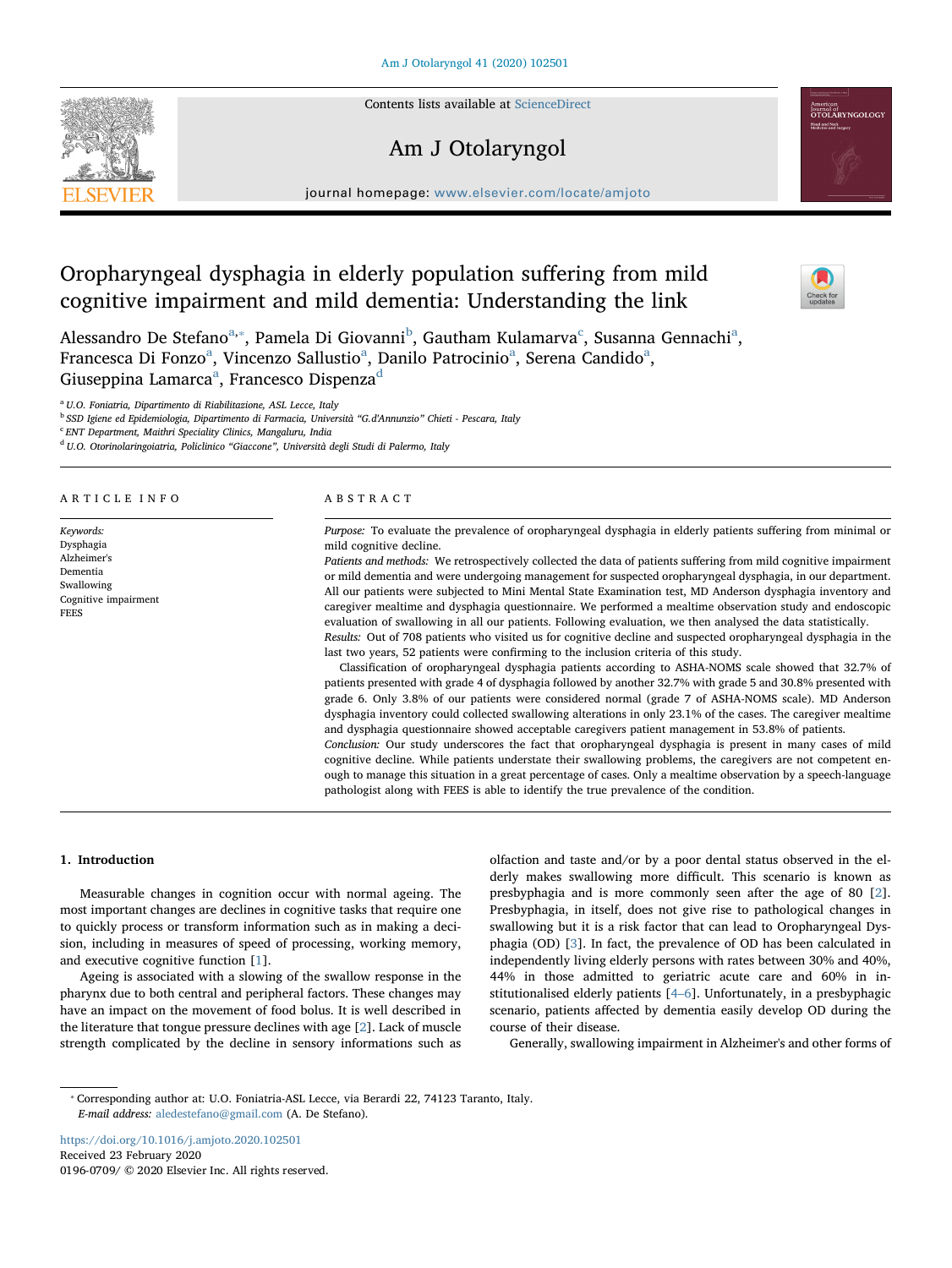Contents lists available at [ScienceDirect](http://www.sciencedirect.com/science/journal/01960709)

## Am J Otolaryngol

journal homepage: [www.elsevier.com/locate/amjoto](https://www.elsevier.com/locate/amjoto)

# Oropharyngeal dysphagia in elderly population suffering from mild cognitive impairment and mild dementia: Understanding the link

Aless[a](#page-0-0)ndro De Stefano<sup>a,</sup>\*, Pamela Di Giovanni<sup>[b](#page-0-2)</sup>, Gautham Kulamarva<sup>[c](#page-0-3)</sup>, Susanna Gennachi<sup>a</sup>, Fr[a](#page-0-0)ncesca Di Fonzo<sup>a</sup>, Vincenzo Sallustio<sup>a</sup>, Danilo Patrocinio<sup>a</sup>, Serena Candido<sup>a</sup>, Giuseppin[a](#page-0-0) Lamarca $\mathrm{^a},$  Francesco Dispenza $\mathrm{^d}$  $\mathrm{^d}$  $\mathrm{^d}$ 

<span id="page-0-0"></span><sup>a</sup> U.O. Foniatria, Dipartimento di Riabilitazione, ASL Lecce, Italy

<span id="page-0-2"></span><sup>b</sup> SSD Igiene ed Epidemiologia, Dipartimento di Farmacia, Università "G.d'Annunzio" Chieti - Pescara, Italy

<span id="page-0-3"></span><sup>c</sup> ENT Department, Maithri Speciality Clinics, Mangaluru, India

<span id="page-0-4"></span><sup>d</sup> U.O. Otorinolaringoiatria, Policlinico "Giaccone", Università degli Studi di Palermo, Italy

## ARTICLE INFO

Keywords: Dysphagia Alzheimer's Dementia Swallowing Cognitive impairment FEES

## ABSTRACT

Purpose: To evaluate the prevalence of oropharyngeal dysphagia in elderly patients suffering from minimal or mild cognitive decline.

Patients and methods: We retrospectively collected the data of patients suffering from mild cognitive impairment or mild dementia and were undergoing management for suspected oropharyngeal dysphagia, in our department. All our patients were subjected to Mini Mental State Examination test, MD Anderson dysphagia inventory and caregiver mealtime and dysphagia questionnaire. We performed a mealtime observation study and endoscopic evaluation of swallowing in all our patients. Following evaluation, we then analysed the data statistically. Results: Out of 708 patients who visited us for cognitive decline and suspected oropharyngeal dysphagia in the

last two years, 52 patients were confirming to the inclusion criteria of this study. Classification of oropharyngeal dysphagia patients according to ASHA-NOMS scale showed that 32.7% of

patients presented with grade 4 of dysphagia followed by another 32.7% with grade 5 and 30.8% presented with grade 6. Only 3.8% of our patients were considered normal (grade 7 of ASHA-NOMS scale). MD Anderson dysphagia inventory could collected swallowing alterations in only 23.1% of the cases. The caregiver mealtime and dysphagia questionnaire showed acceptable caregivers patient management in 53.8% of patients.

Conclusion: Our study underscores the fact that oropharyngeal dysphagia is present in many cases of mild cognitive decline. While patients understate their swallowing problems, the caregivers are not competent enough to manage this situation in a great percentage of cases. Only a mealtime observation by a speech-language pathologist along with FEES is able to identify the true prevalence of the condition.

## 1. Introduction

Measurable changes in cognition occur with normal ageing. The most important changes are declines in cognitive tasks that require one to quickly process or transform information such as in making a decision, including in measures of speed of processing, working memory, and executive cognitive function [[1](#page-3-0)].

Ageing is associated with a slowing of the swallow response in the pharynx due to both central and peripheral factors. These changes may have an impact on the movement of food bolus. It is well described in the literature that tongue pressure declines with age [[2](#page-3-1)]. Lack of muscle strength complicated by the decline in sensory informations such as

olfaction and taste and/or by a poor dental status observed in the elderly makes swallowing more difficult. This scenario is known as presbyphagia and is more commonly seen after the age of 80 [[2](#page-3-1)]. Presbyphagia, in itself, does not give rise to pathological changes in swallowing but it is a risk factor that can lead to Oropharyngeal Dysphagia (OD) [[3](#page-3-2)]. In fact, the prevalence of OD has been calculated in independently living elderly persons with rates between 30% and 40%, 44% in those admitted to geriatric acute care and 60% in institutionalised elderly patients [4–[6\]](#page-3-3). Unfortunately, in a presbyphagic scenario, patients affected by dementia easily develop OD during the course of their disease.

Generally, swallowing impairment in Alzheimer's and other forms of

<https://doi.org/10.1016/j.amjoto.2020.102501> Received 23 February 2020 0196-0709/ © 2020 Elsevier Inc. All rights reserved.







<span id="page-0-1"></span><sup>⁎</sup> Corresponding author at: U.O. Foniatria-ASL Lecce, via Berardi 22, 74123 Taranto, Italy. E-mail address: [aledestefano@gmail.com](mailto:aledestefano@gmail.com) (A. De Stefano).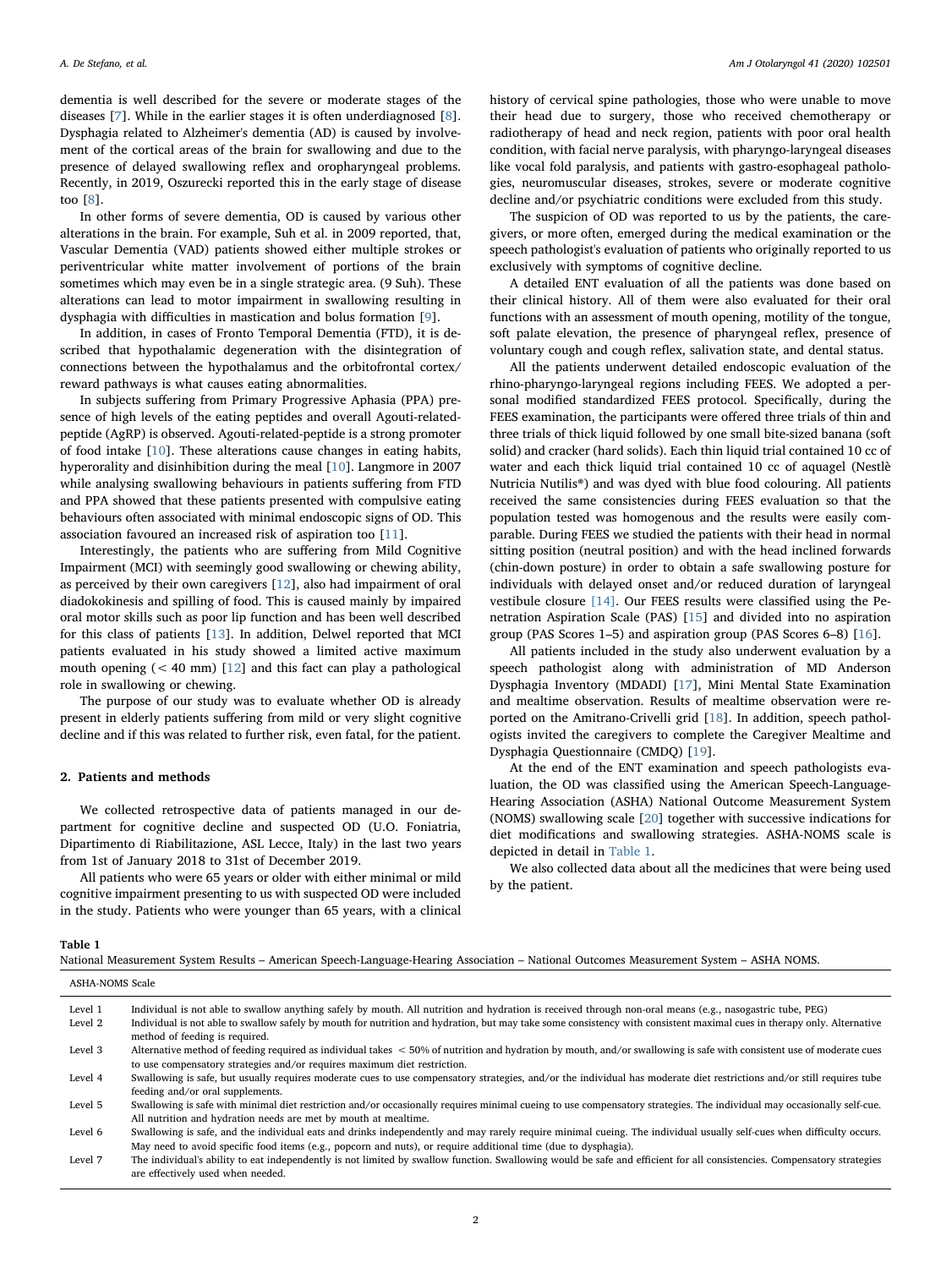dementia is well described for the severe or moderate stages of the diseases [[7](#page-3-4)]. While in the earlier stages it is often underdiagnosed [[8](#page-3-5)]. Dysphagia related to Alzheimer's dementia (AD) is caused by involvement of the cortical areas of the brain for swallowing and due to the presence of delayed swallowing reflex and oropharyngeal problems. Recently, in 2019, Oszurecki reported this in the early stage of disease too [\[8\]](#page-3-5).

In other forms of severe dementia, OD is caused by various other alterations in the brain. For example, Suh et al. in 2009 reported, that, Vascular Dementia (VAD) patients showed either multiple strokes or periventricular white matter involvement of portions of the brain sometimes which may even be in a single strategic area. (9 Suh). These alterations can lead to motor impairment in swallowing resulting in dysphagia with difficulties in mastication and bolus formation [[9](#page-3-6)].

In addition, in cases of Fronto Temporal Dementia (FTD), it is described that hypothalamic degeneration with the disintegration of connections between the hypothalamus and the orbitofrontal cortex/ reward pathways is what causes eating abnormalities.

In subjects suffering from Primary Progressive Aphasia (PPA) presence of high levels of the eating peptides and overall Agouti-relatedpeptide (AgRP) is observed. Agouti-related-peptide is a strong promoter of food intake [[10\]](#page-3-7). These alterations cause changes in eating habits, hyperorality and disinhibition during the meal [\[10](#page-3-7)]. Langmore in 2007 while analysing swallowing behaviours in patients suffering from FTD and PPA showed that these patients presented with compulsive eating behaviours often associated with minimal endoscopic signs of OD. This association favoured an increased risk of aspiration too [[11\]](#page-3-8).

Interestingly, the patients who are suffering from Mild Cognitive Impairment (MCI) with seemingly good swallowing or chewing ability, as perceived by their own caregivers [\[12](#page-3-9)], also had impairment of oral diadokokinesis and spilling of food. This is caused mainly by impaired oral motor skills such as poor lip function and has been well described for this class of patients [\[13](#page-3-10)]. In addition, Delwel reported that MCI patients evaluated in his study showed a limited active maximum mouth opening  $( $40 \text{ mm}$ ) [12] and this fact can play a pathological$  $( $40 \text{ mm}$ ) [12] and this fact can play a pathological$  $( $40 \text{ mm}$ ) [12] and this fact can play a pathological$ role in swallowing or chewing.

The purpose of our study was to evaluate whether OD is already present in elderly patients suffering from mild or very slight cognitive decline and if this was related to further risk, even fatal, for the patient.

## 2. Patients and methods

We collected retrospective data of patients managed in our department for cognitive decline and suspected OD (U.O. Foniatria, Dipartimento di Riabilitazione, ASL Lecce, Italy) in the last two years from 1st of January 2018 to 31st of December 2019.

All patients who were 65 years or older with either minimal or mild cognitive impairment presenting to us with suspected OD were included in the study. Patients who were younger than 65 years, with a clinical

history of cervical spine pathologies, those who were unable to move their head due to surgery, those who received chemotherapy or radiotherapy of head and neck region, patients with poor oral health condition, with facial nerve paralysis, with pharyngo-laryngeal diseases like vocal fold paralysis, and patients with gastro-esophageal pathologies, neuromuscular diseases, strokes, severe or moderate cognitive decline and/or psychiatric conditions were excluded from this study.

The suspicion of OD was reported to us by the patients, the caregivers, or more often, emerged during the medical examination or the speech pathologist's evaluation of patients who originally reported to us exclusively with symptoms of cognitive decline.

A detailed ENT evaluation of all the patients was done based on their clinical history. All of them were also evaluated for their oral functions with an assessment of mouth opening, motility of the tongue, soft palate elevation, the presence of pharyngeal reflex, presence of voluntary cough and cough reflex, salivation state, and dental status.

All the patients underwent detailed endoscopic evaluation of the rhino-pharyngo-laryngeal regions including FEES. We adopted a personal modified standardized FEES protocol. Specifically, during the FEES examination, the participants were offered three trials of thin and three trials of thick liquid followed by one small bite-sized banana (soft solid) and cracker (hard solids). Each thin liquid trial contained 10 cc of water and each thick liquid trial contained 10 cc of aquagel (Nestlè Nutricia Nutilis®) and was dyed with blue food colouring. All patients received the same consistencies during FEES evaluation so that the population tested was homogenous and the results were easily comparable. During FEES we studied the patients with their head in normal sitting position (neutral position) and with the head inclined forwards (chin-down posture) in order to obtain a safe swallowing posture for individuals with delayed onset and/or reduced duration of laryngeal vestibule closure [\[14\]](#page-3-11). Our FEES results were classified using the Penetration Aspiration Scale (PAS) [[15\]](#page-3-12) and divided into no aspiration group (PAS Scores 1–5) and aspiration group (PAS Scores 6–8) [\[16](#page-3-13)].

All patients included in the study also underwent evaluation by a speech pathologist along with administration of MD Anderson Dysphagia Inventory (MDADI) [[17\]](#page-3-14), Mini Mental State Examination and mealtime observation. Results of mealtime observation were reported on the Amitrano-Crivelli grid [[18\]](#page-3-15). In addition, speech pathologists invited the caregivers to complete the Caregiver Mealtime and Dysphagia Questionnaire (CMDQ) [[19](#page-3-16)].

At the end of the ENT examination and speech pathologists evaluation, the OD was classified using the American Speech-Language-Hearing Association (ASHA) National Outcome Measurement System (NOMS) swallowing scale [\[20](#page-3-17)] together with successive indications for diet modifications and swallowing strategies. ASHA-NOMS scale is depicted in detail in [Table 1.](#page-1-0)

We also collected data about all the medicines that were being used by the patient.

#### <span id="page-1-0"></span>Table 1

|  |  |  |  |  |  | National Measurement System Results – American Speech-Language-Hearing Association – National Outcomes Measurement System – ASHA NOMS. |  |
|--|--|--|--|--|--|----------------------------------------------------------------------------------------------------------------------------------------|--|
|--|--|--|--|--|--|----------------------------------------------------------------------------------------------------------------------------------------|--|

| ASHA-NOMS Scale |                                                                                                                                                                                                                                                                                        |
|-----------------|----------------------------------------------------------------------------------------------------------------------------------------------------------------------------------------------------------------------------------------------------------------------------------------|
| Level 1         | Individual is not able to swallow anything safely by mouth. All nutrition and hydration is received through non-oral means (e.g., nasogastric tube, PEG)                                                                                                                               |
| Level 2         | Individual is not able to swallow safely by mouth for nutrition and hydration, but may take some consistency with consistent maximal cues in therapy only. Alternative<br>method of feeding is required.                                                                               |
| Level 3         | Alternative method of feeding required as individual takes < 50% of nutrition and hydration by mouth, and/or swallowing is safe with consistent use of moderate cues<br>to use compensatory strategies and/or requires maximum diet restriction.                                       |
| Level 4         | Swallowing is safe, but usually requires moderate cues to use compensatory strategies, and/or the individual has moderate diet restrictions and/or still requires tube<br>feeding and/or oral supplements.                                                                             |
| Level 5         | Swallowing is safe with minimal diet restriction and/or occasionally requires minimal cueing to use compensatory strategies. The individual may occasionally self-cue.<br>All nutrition and hydration needs are met by mouth at mealtime.                                              |
| Level 6         | Swallowing is safe, and the individual eats and drinks independently and may rarely require minimal cueing. The individual usually self-cues when difficulty occurs.<br>May need to avoid specific food items (e.g., popcorn and nuts), or require additional time (due to dysphagia). |
| Level 7         | The individual's ability to eat independently is not limited by swallow function. Swallowing would be safe and efficient for all consistencies. Compensatory strategies<br>are effectively used when needed.                                                                           |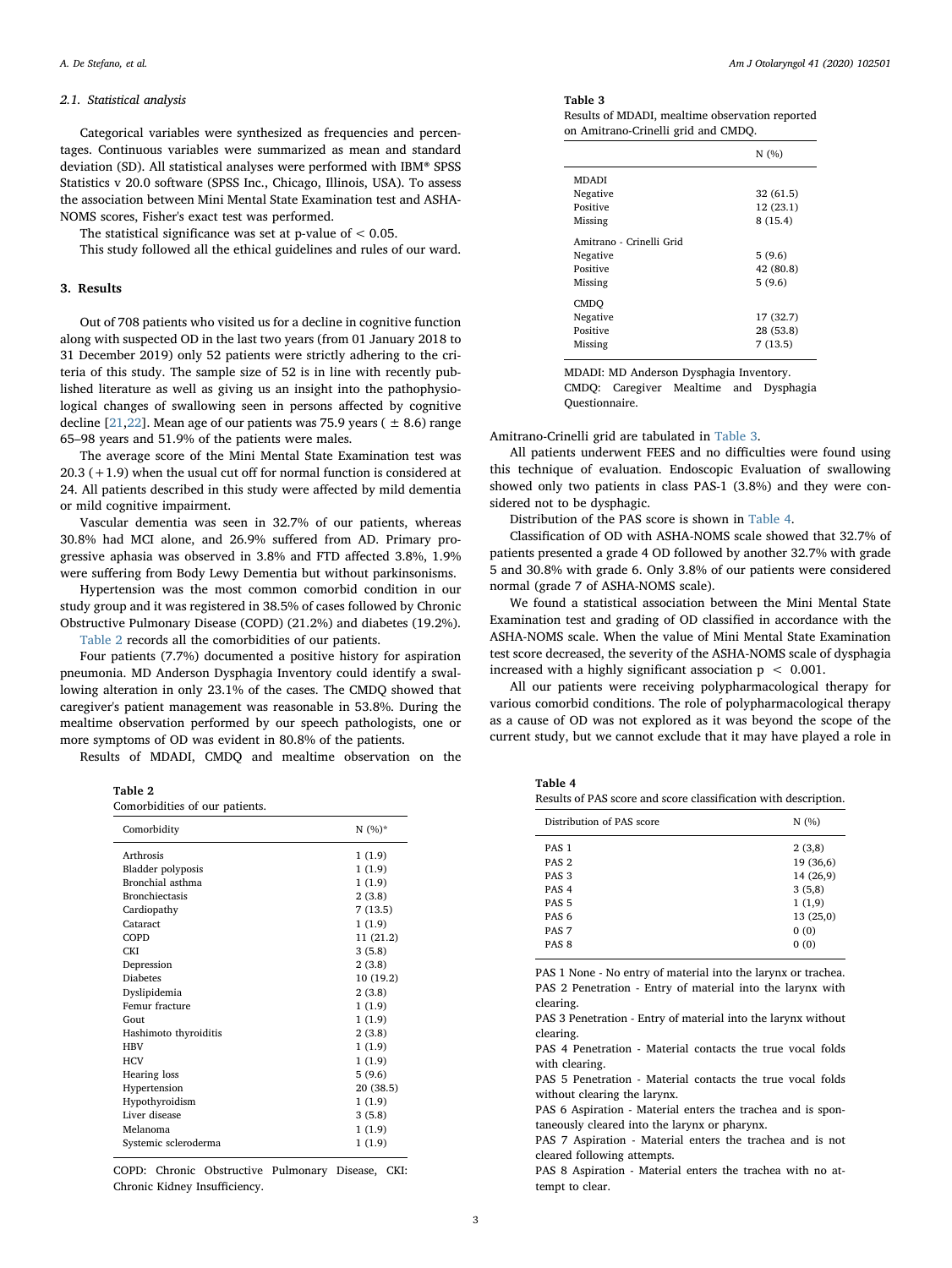#### 2.1. Statistical analysis

Categorical variables were synthesized as frequencies and percentages. Continuous variables were summarized as mean and standard deviation (SD). All statistical analyses were performed with IBM® SPSS Statistics v 20.0 software (SPSS Inc., Chicago, Illinois, USA). To assess the association between Mini Mental State Examination test and ASHA-NOMS scores, Fisher's exact test was performed.

The statistical significance was set at p-value of  $< 0.05$ .

This study followed all the ethical guidelines and rules of our ward.

## 3. Results

Out of 708 patients who visited us for a decline in cognitive function along with suspected OD in the last two years (from 01 January 2018 to 31 December 2019) only 52 patients were strictly adhering to the criteria of this study. The sample size of 52 is in line with recently published literature as well as giving us an insight into the pathophysiological changes of swallowing seen in persons affected by cognitive decline [\[21](#page-3-18),[22](#page-3-19)]. Mean age of our patients was 75.9 years ( $\pm$  8.6) range 65–98 years and 51.9% of the patients were males.

The average score of the Mini Mental State Examination test was 20.3 (+1.9) when the usual cut off for normal function is considered at 24. All patients described in this study were affected by mild dementia or mild cognitive impairment.

Vascular dementia was seen in 32.7% of our patients, whereas 30.8% had MCI alone, and 26.9% suffered from AD. Primary progressive aphasia was observed in 3.8% and FTD affected 3.8%, 1.9% were suffering from Body Lewy Dementia but without parkinsonisms.

Hypertension was the most common comorbid condition in our study group and it was registered in 38.5% of cases followed by Chronic Obstructive Pulmonary Disease (COPD) (21.2%) and diabetes (19.2%).

[Table 2](#page-2-0) records all the comorbidities of our patients.

Four patients (7.7%) documented a positive history for aspiration pneumonia. MD Anderson Dysphagia Inventory could identify a swallowing alteration in only 23.1% of the cases. The CMDQ showed that caregiver's patient management was reasonable in 53.8%. During the mealtime observation performed by our speech pathologists, one or more symptoms of OD was evident in 80.8% of the patients.

Results of MDADI, CMDQ and mealtime observation on the

<span id="page-2-0"></span>Table 2

| Comorbidities of our patients. |  |  |  |
|--------------------------------|--|--|--|
|--------------------------------|--|--|--|

| Comorbidity              | $N(%)^*$  |
|--------------------------|-----------|
|                          |           |
| Arthrosis                | 1(1.9)    |
| <b>Bladder</b> polyposis | 1(1.9)    |
| Bronchial asthma         | 1(1.9)    |
| <b>Bronchiectasis</b>    | 2(3.8)    |
| Cardiopathy              | 7(13.5)   |
| Cataract                 | 1(1.9)    |
| COPD                     | 11 (21.2) |
| <b>CKI</b>               | 3(5.8)    |
| Depression               | 2(3.8)    |
| <b>Diabetes</b>          | 10 (19.2) |
| Dyslipidemia             | 2(3.8)    |
| Femur fracture           | 1(1.9)    |
| Gout                     | 1(1.9)    |
| Hashimoto thyroiditis    | 2(3.8)    |
| <b>HBV</b>               | 1(1.9)    |
| <b>HCV</b>               | 1(1.9)    |
| Hearing loss             | 5(9.6)    |
| Hypertension             | 20 (38.5) |
| Hypothyroidism           | 1(1.9)    |
| Liver disease            | 3(5.8)    |
| Melanoma                 | 1(1.9)    |
| Systemic scleroderma     | 1(1.9)    |
|                          |           |

COPD: Chronic Obstructive Pulmonary Disease, CKI: Chronic Kidney Insufficiency.

#### <span id="page-2-1"></span>Table 3

Results of MDADI, mealtime observation reported on Amitrano-Crinelli grid and CMDQ.

|                                                             | N(%)                              |
|-------------------------------------------------------------|-----------------------------------|
| <b>MDADI</b>                                                |                                   |
| Negative                                                    | 32(61.5)                          |
| Positive                                                    | 12(23.1)                          |
| Missing                                                     | 8(15.4)                           |
| Amitrano - Crinelli Grid<br>Negative<br>Positive<br>Missing | 5(9.6)<br>42 (80.8)<br>5(9.6)     |
| <b>CMDO</b><br>Negative<br>Positive<br>Missing              | 17 (32.7)<br>28 (53.8)<br>7(13.5) |

MDADI: MD Anderson Dysphagia Inventory. CMDQ: Caregiver Mealtime and Dysphagia

Questionnaire.

Amitrano-Crinelli grid are tabulated in [Table 3](#page-2-1).

All patients underwent FEES and no difficulties were found using this technique of evaluation. Endoscopic Evaluation of swallowing showed only two patients in class PAS-1 (3.8%) and they were considered not to be dysphagic.

Distribution of the PAS score is shown in [Table 4](#page-2-2).

Classification of OD with ASHA-NOMS scale showed that 32.7% of patients presented a grade 4 OD followed by another 32.7% with grade 5 and 30.8% with grade 6. Only 3.8% of our patients were considered normal (grade 7 of ASHA-NOMS scale).

We found a statistical association between the Mini Mental State Examination test and grading of OD classified in accordance with the ASHA-NOMS scale. When the value of Mini Mental State Examination test score decreased, the severity of the ASHA-NOMS scale of dysphagia increased with a highly significant association  $p < 0.001$ .

All our patients were receiving polypharmacological therapy for various comorbid conditions. The role of polypharmacological therapy as a cause of OD was not explored as it was beyond the scope of the current study, but we cannot exclude that it may have played a role in

<span id="page-2-2"></span>

| Table 4 |  |
|---------|--|
|         |  |

Results of PAS score and score classification with description.

| Distribution of PAS score | N (%)     |  |
|---------------------------|-----------|--|
| PAS <sub>1</sub>          | 2(3,8)    |  |
| PAS <sub>2</sub>          | 19 (36,6) |  |
| PAS <sub>3</sub>          | 14 (26,9) |  |
| PAS <sub>4</sub>          | 3(5,8)    |  |
| PAS <sub>5</sub>          | 1(1,9)    |  |
| PAS <sub>6</sub>          | 13(25,0)  |  |
| PAS <sub>7</sub>          | 0(0)      |  |
| PAS <sub>8</sub>          | 0(0)      |  |
|                           |           |  |

PAS 1 None - No entry of material into the larynx or trachea. PAS 2 Penetration - Entry of material into the larynx with clearing.

PAS 3 Penetration - Entry of material into the larynx without clearing.

PAS 4 Penetration - Material contacts the true vocal folds with clearing

PAS 5 Penetration - Material contacts the true vocal folds without clearing the larynx.

PAS 6 Aspiration - Material enters the trachea and is spontaneously cleared into the larynx or pharynx.

PAS 7 Aspiration - Material enters the trachea and is not cleared following attempts.

PAS 8 Aspiration - Material enters the trachea with no attempt to clear.